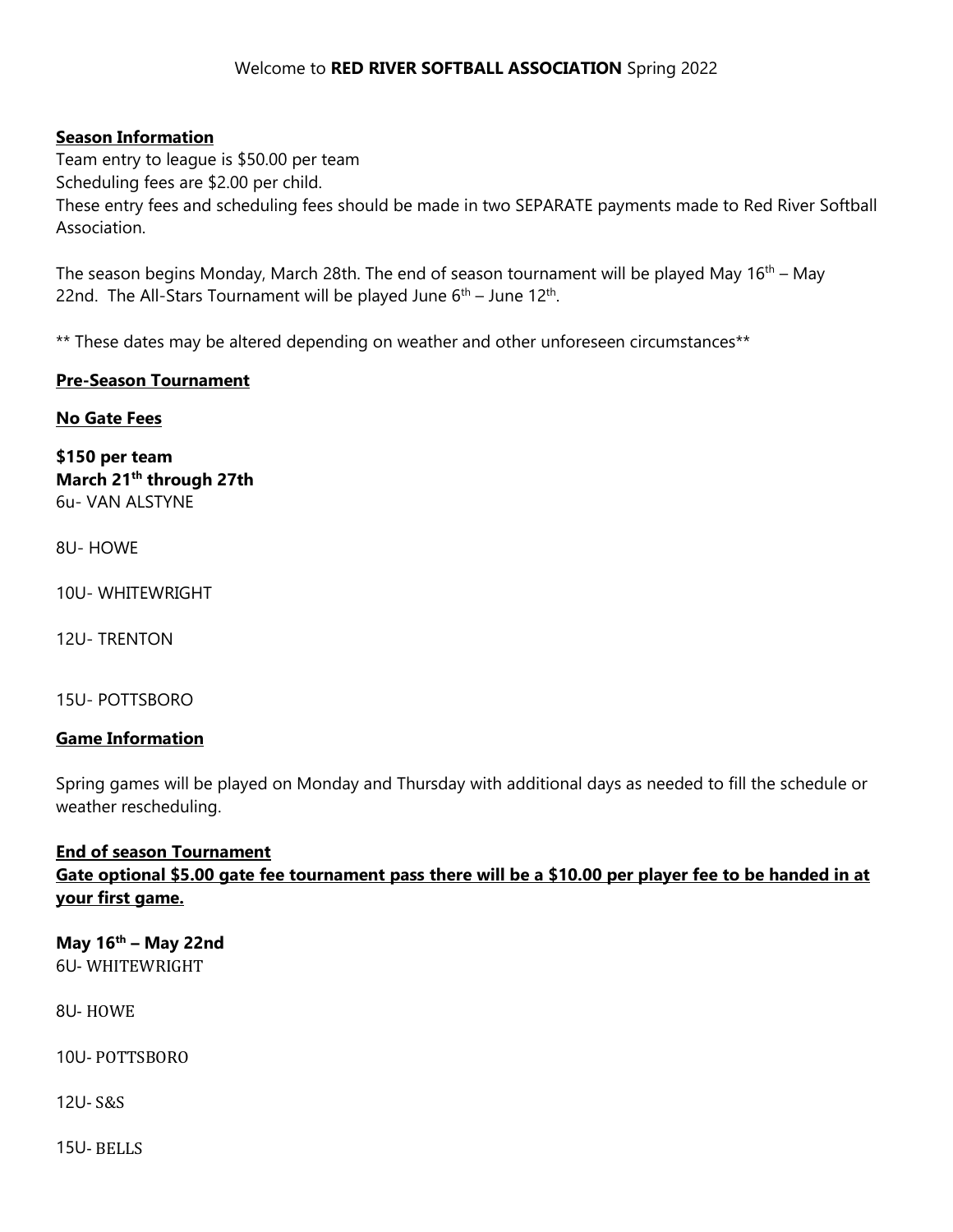# Welcome to **RED RIVER SOFTBALL ASSOCIATION** Spring 2022

## **Season Information**

Team entry to league is \$50.00 per team Scheduling fees are \$2.00 per child. These entry fees and scheduling fees should be made in two SEPARATE payments made to Red River Softball Association.

The season begins Monday, March 28th. The end of season tournament will be played May 16<sup>th</sup> – May 22nd. The All-Stars Tournament will be played June  $6<sup>th</sup>$  – June 12<sup>th</sup>.

\*\* These dates may be altered depending on weather and other unforeseen circumstances\*\*

## **Pre-Season Tournament**

#### **No Gate Fees**

**\$150 per team March 21th through 27th** 6u- VAN ALSTYNE

8U- HOWE

10U- WHITEWRIGHT

12U- TRENTON

15U- POTTSBORO

#### **Game Information**

Spring games will be played on Monday and Thursday with additional days as needed to fill the schedule or weather rescheduling.

#### **End of season Tournament**

# **Gate optional \$5.00 gate fee tournament pass there will be a \$10.00 per player fee to be handed in at your first game.**

#### **May 16 th – May 22nd** 6U‐ WHITEWRIGHT

8U- HOWE

10U- POTTSBORO

12U‐ S&S

15U- BELLS